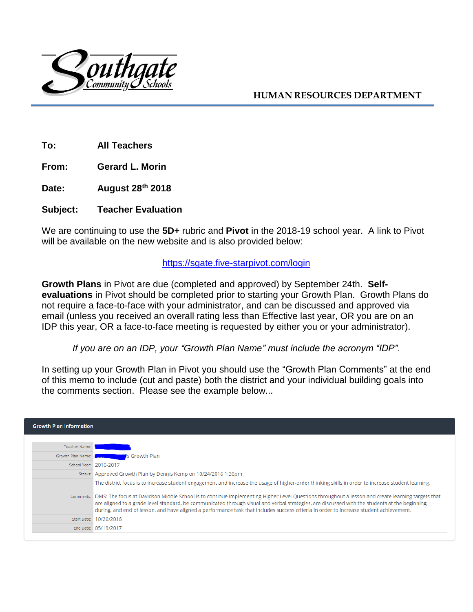

## **HUMAN RESOURCES DEPARTMENT**

**To: All Teachers**

**From: Gerard L. Morin**

**Date: August 28 th 2018**

#### **Subject: Teacher Evaluation**

We are continuing to use the **5D+** rubric and **Pivot** in the 2018-19 school year. A link to Pivot will be available on the new website and is also provided below:

#### <https://sgate.five-starpivot.com/login>

**Growth Plans** in Pivot are due (completed and approved) by September 24th. **Selfevaluations** in Pivot should be completed prior to starting your Growth Plan. Growth Plans do not require a face-to-face with your administrator, and can be discussed and approved via email (unless you received an overall rating less than Effective last year, OR you are on an IDP this year, OR a face-to-face meeting is requested by either you or your administrator).

*If you are on an IDP, your "Growth Plan Name" must include the acronym "IDP".*

In setting up your Growth Plan in Pivot you should use the "Growth Plan Comments" at the end of this memo to include (cut and paste) both the district and your individual building goals into the comments section. Please see the example below...

| <b>Growth Plan Information</b> |                                                                                                                                                                                                                                                                                                                                                                                                                                                                                                                                                                                                               |
|--------------------------------|---------------------------------------------------------------------------------------------------------------------------------------------------------------------------------------------------------------------------------------------------------------------------------------------------------------------------------------------------------------------------------------------------------------------------------------------------------------------------------------------------------------------------------------------------------------------------------------------------------------|
| Teacher Name:                  |                                                                                                                                                                                                                                                                                                                                                                                                                                                                                                                                                                                                               |
| Growth Plan Name:              | 's Growth Plan                                                                                                                                                                                                                                                                                                                                                                                                                                                                                                                                                                                                |
|                                | School Year: 2016-2017                                                                                                                                                                                                                                                                                                                                                                                                                                                                                                                                                                                        |
|                                | Status: Approved Growth Plan by Dennis Kemp on 10/24/2016 1:30pm                                                                                                                                                                                                                                                                                                                                                                                                                                                                                                                                              |
|                                | The district focus is to increase student engagement and increase the usage of higher-order thinking skills in order to increase student learning.<br>Comments: DMS: The focus at Davidson Middle School is to continue implementing Higher Level Questions throughout a lesson and create learning targets that<br>are aligned to a grade level standard, be communicated through visual and verbal strategies, are discussed with the students at the beginning,<br>during, and end of lesson, and have aligned a performance task that includes success criteria in order to increase student achievement. |
|                                | Start Date: 10/20/2016                                                                                                                                                                                                                                                                                                                                                                                                                                                                                                                                                                                        |
|                                | End Date: 05/19/2017                                                                                                                                                                                                                                                                                                                                                                                                                                                                                                                                                                                          |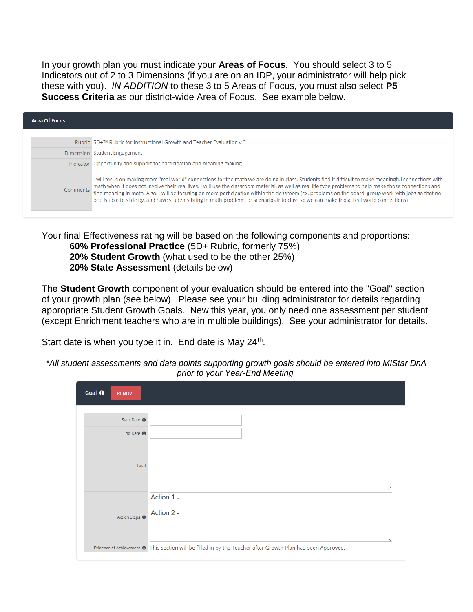In your growth plan you must indicate your **Areas of Focus**. You should select 3 to 5 Indicators out of 2 to 3 Dimensions (if you are on an IDP, your administrator will help pick these with you). *IN ADDITION* to these 3 to 5 Areas of Focus, you must also select **P5 Success Criteria** as our district-wide Area of Focus. See example below.

| <b>Area Of Focus</b> |                                                                                                                                                                                                                                                                                                                                                                                                                                                                                                                                                                                                                        |
|----------------------|------------------------------------------------------------------------------------------------------------------------------------------------------------------------------------------------------------------------------------------------------------------------------------------------------------------------------------------------------------------------------------------------------------------------------------------------------------------------------------------------------------------------------------------------------------------------------------------------------------------------|
|                      | Rubric 5D+™ Rubric for Instructional Growth and Teacher Evaluation v.3                                                                                                                                                                                                                                                                                                                                                                                                                                                                                                                                                 |
|                      | Dimension Student Engagement                                                                                                                                                                                                                                                                                                                                                                                                                                                                                                                                                                                           |
|                      | Indicator Opportunity and support for participation and meaning making                                                                                                                                                                                                                                                                                                                                                                                                                                                                                                                                                 |
| <b>Comments</b>      | I will focus on making more "real-world" connections for the math we are doing in class. Students find it difficult to make meaningful connections with<br>math when it does not involve their real lives. I will use the classroom material, as well as real life type problems to help make those connections and<br>find meaning in math. Also, I will be focusing on more participation within the classroom (ex. problems on the board, group work with jobs so that no<br>one is able to slide by, and have students bring in math problems or scenarios into class so we can make those real world connections) |

Your final Effectiveness rating will be based on the following components and proportions: **60% Professional Practice** (5D+ Rubric, formerly 75%) **20% Student Growth** (what used to be the other 25%) **20% State Assessment** (details below)

The **Student Growth** component of your evaluation should be entered into the "Goal" section of your growth plan (see below). Please see your building administrator for details regarding appropriate Student Growth Goals. New this year, you only need one assessment per student (except Enrichment teachers who are in multiple buildings). See your administrator for details.

Start date is when you type it in. End date is May 24<sup>th</sup>.

| Goal <sup>O</sup><br><b>REMOVE</b> |                                                                                                                         |
|------------------------------------|-------------------------------------------------------------------------------------------------------------------------|
|                                    |                                                                                                                         |
| Start Date <sup>O</sup>            |                                                                                                                         |
| End Date $\Theta$                  |                                                                                                                         |
| Goal                               |                                                                                                                         |
| Action Steps <sup>O</sup>          | Action 1 -<br>Action 2 -                                                                                                |
|                                    | Evidence of Achievement <sup>o</sup> This section will be filled in by the Teacher after Growth Plan has been Approved. |

*\*All student assessments and data points supporting growth goals should be entered into MIStar DnA*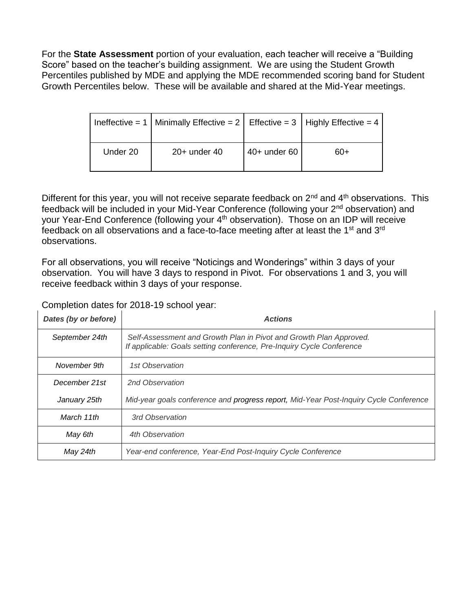For the **State Assessment** portion of your evaluation, each teacher will receive a "Building Score" based on the teacher's building assignment. We are using the Student Growth Percentiles published by MDE and applying the MDE recommended scoring band for Student Growth Percentiles below. These will be available and shared at the Mid-Year meetings.

|          | Ineffective = 1   Minimally Effective = 2   Effective = 3   Highly Effective = 4 |              |     |
|----------|----------------------------------------------------------------------------------|--------------|-----|
| Under 20 | $20+$ under 40                                                                   | 40+ under 60 | 60+ |

Different for this year, you will not receive separate feedback on 2<sup>nd</sup> and 4<sup>th</sup> observations. This feedback will be included in your Mid-Year Conference (following your 2nd observation) and your Year-End Conference (following your 4<sup>th</sup> observation). Those on an IDP will receive feedback on all observations and a face-to-face meeting after at least the 1<sup>st</sup> and 3<sup>rd</sup> observations.

For all observations, you will receive "Noticings and Wonderings" within 3 days of your observation. You will have 3 days to respond in Pivot. For observations 1 and 3, you will receive feedback within 3 days of your response.

### Completion dates for 2018-19 school year:

| Dates (by or before) | <b>Actions</b>                                                                                                                              |  |  |
|----------------------|---------------------------------------------------------------------------------------------------------------------------------------------|--|--|
| September 24th       | Self-Assessment and Growth Plan in Pivot and Growth Plan Approved.<br>If applicable: Goals setting conference, Pre-Inquiry Cycle Conference |  |  |
| November 9th         | 1st Observation                                                                                                                             |  |  |
| December 21st        | 2nd Observation                                                                                                                             |  |  |
| January 25th         | Mid-year goals conference and progress report, Mid-Year Post-Inquiry Cycle Conference                                                       |  |  |
| March 11th           | 3rd Observation                                                                                                                             |  |  |
| May 6th              | 4th Observation                                                                                                                             |  |  |
| May 24th             | Year-end conference, Year-End Post-Inquiry Cycle Conference                                                                                 |  |  |